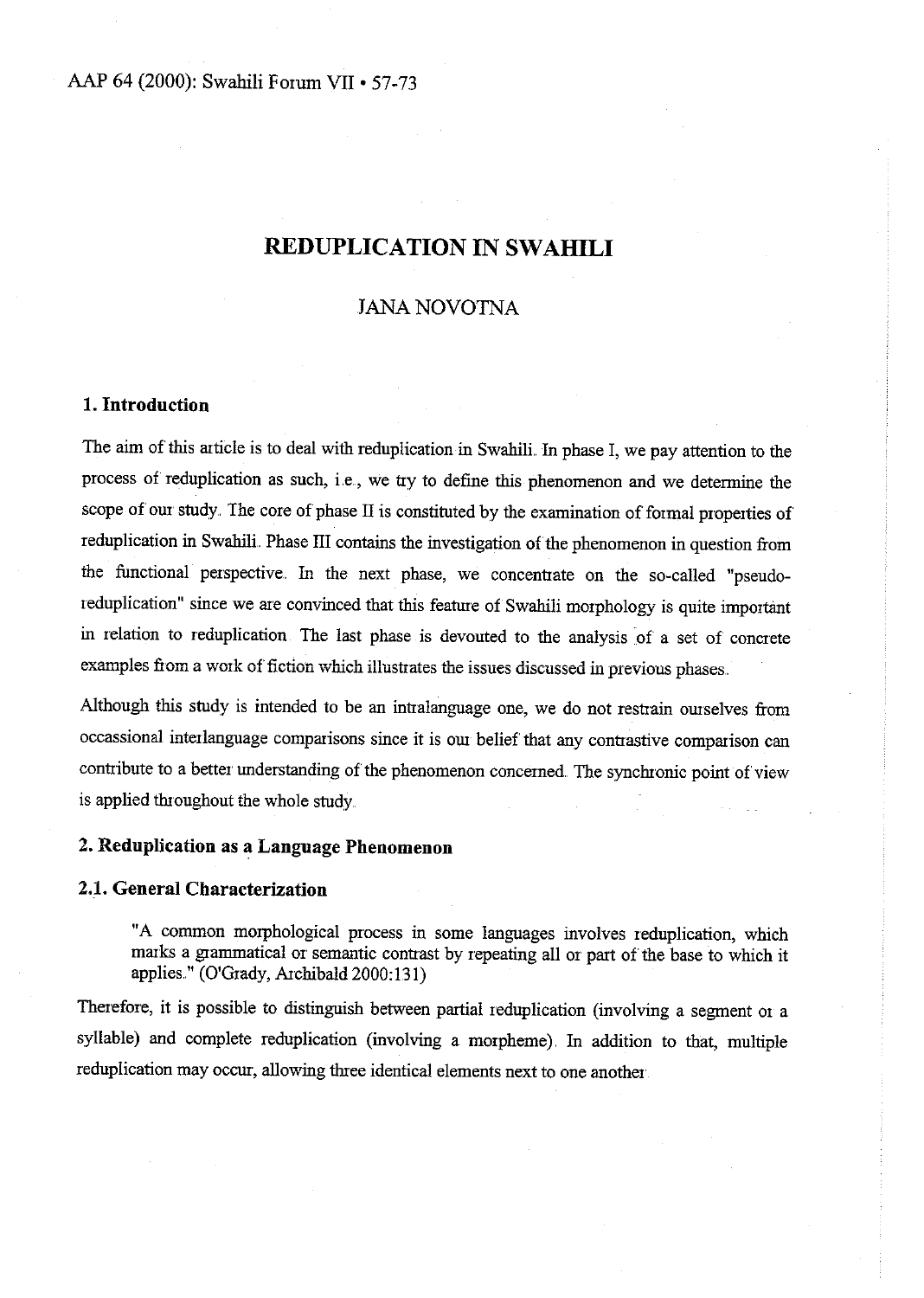## JANA NOVOTNA

## **1. Introduction**

The aim of this article is to deal with reduplication in Swahili. In phase I, we pay attention to the process of reduplication as such, i.e., we try to define this phenomenon and we determine the scope of om study. The core of phase II is constituted by the examination of formal properties of reduplication in Swahili. Phase III contains the investigation of the phenomenon in question from the functional perspective.. In the next phase, we concentrate on the so-called "pseudoreduplication" since we are convinced that this feature of Swahili morphology is quite important in relation to reduplication. The last phase is devouted to the analysis of a set of concrete **exan1ples from a wotk of fiction which illustrates the issues discussed in ptevious phases ..** 

Although this study is intended to be an intralanguage one, we do not restrain ourselves from occassional interlanguage comparisons since it is our belief that any contrastive comparison can contribute to a better understanding of the phenomenon concerned. The synchronic point of view is applied throughout the whole study.

## **2. Reduplication as a Language Phenomenon**

### 2.1. **General Characterization**

"A common morphological process in some languages involves reduplication, which marks a grammatical or semantic contrast by repeating all or part of the base to which it applies." (O'Grady, Archibald 2000:131)

Therefore, it is possible to distinguish between partial reduplication (involving a segment or <sup>a</sup> syllable) and complete reduplication (involving a morpheme). In addition to that, multiple reduplication may occur, allowing three identical elements next to one another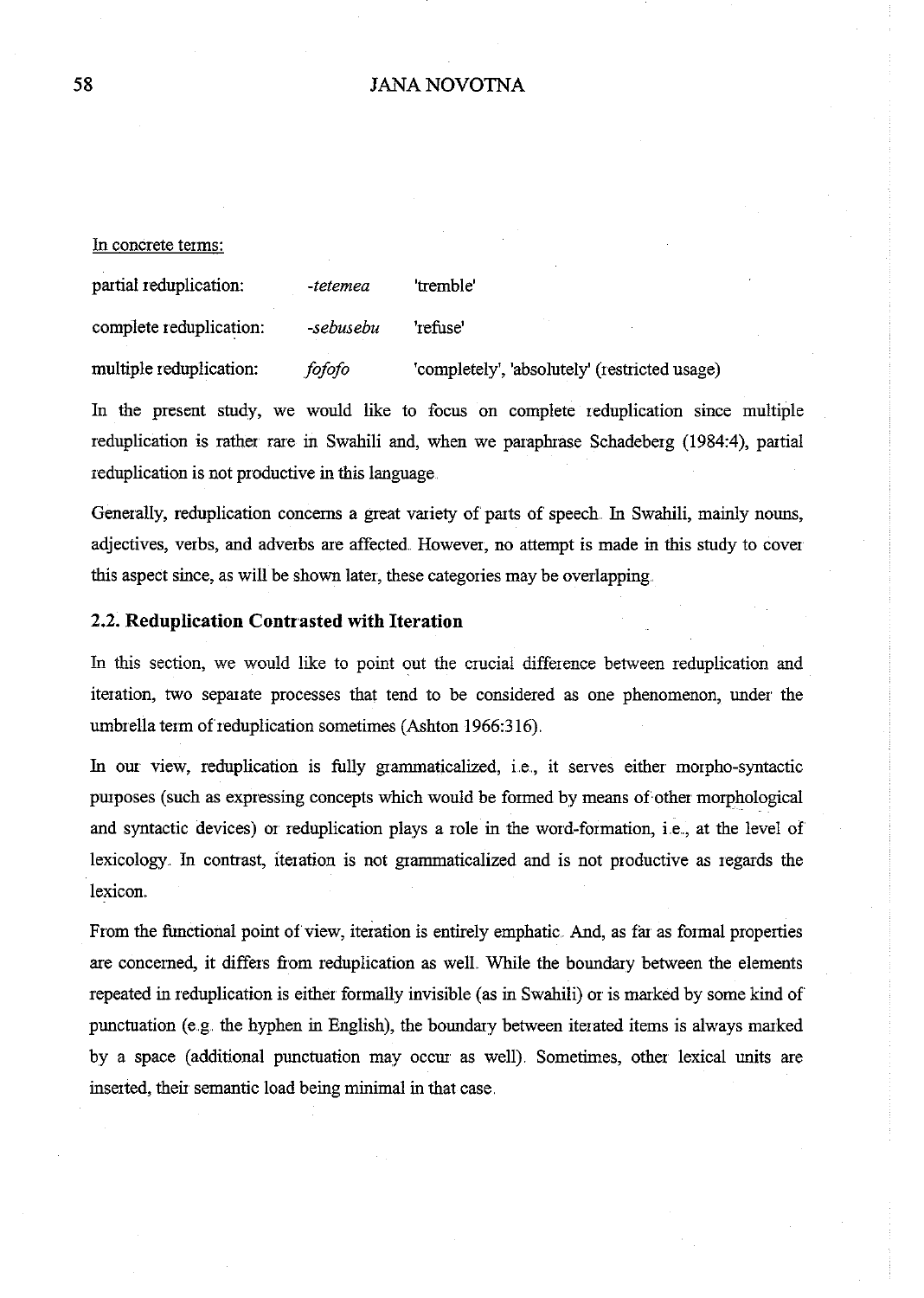In concrete terms:

| partial reduplication:  | -tetemea  | 'tremble'                                     |
|-------------------------|-----------|-----------------------------------------------|
| complete reduplication: | -sebusebu | 'refuse'                                      |
| multiple reduplication: | fofofo    | 'completely', 'absolutely' (restricted usage) |

In the present study, we would like to focus on complete reduplication since multiple reduplication is rather rare in Swahili and, when we paraphrase Schadeberg (1984:4), partial reduplication is not productive in this language.

Generally, reduplication concerns a great variety of parts of speech. In Swahili, mainly nouns, adjectives, verbs, and adverbs are affected. However, no attempt is made in this study to cover this aspect since, as will be shown later, these categories may be overlapping.

#### 2.2. **Reduplication Contrasted with Iteration**

In this section, we would like to point out the crucial difference between reduplication and iteration, two separate processes that tend to be considered as one phenomenon, under the umbrella term of reduplication sometimes (Ashton 1966:316).

In our view, reduplication is fully grammaticalized, i.e., it serves either morpho-syntactic purposes (such as expressing concepts which would be formed by means of other morphological and syntactic devices) or reduplication plays a role in the word-formation, i.e., at the level of lexicology. In contrast, iteration is not grarnmaticalized and is not productive as regards the lexicon.

From the functional point of view, iteration is entirely emphatic. And, as far as formal properties are concerned, it differs from reduplication as well. While the boundary between the elements repeated in reduplication is either formally invisible (as in Swahili) or is marked by some kind of punctuation (e.g. the hyphen in English), the boundary between iterated items is always marked by a space (additional punctuation may occur as well). Sometimes, other lexical units are inserted, their semantic load being minimal in that case.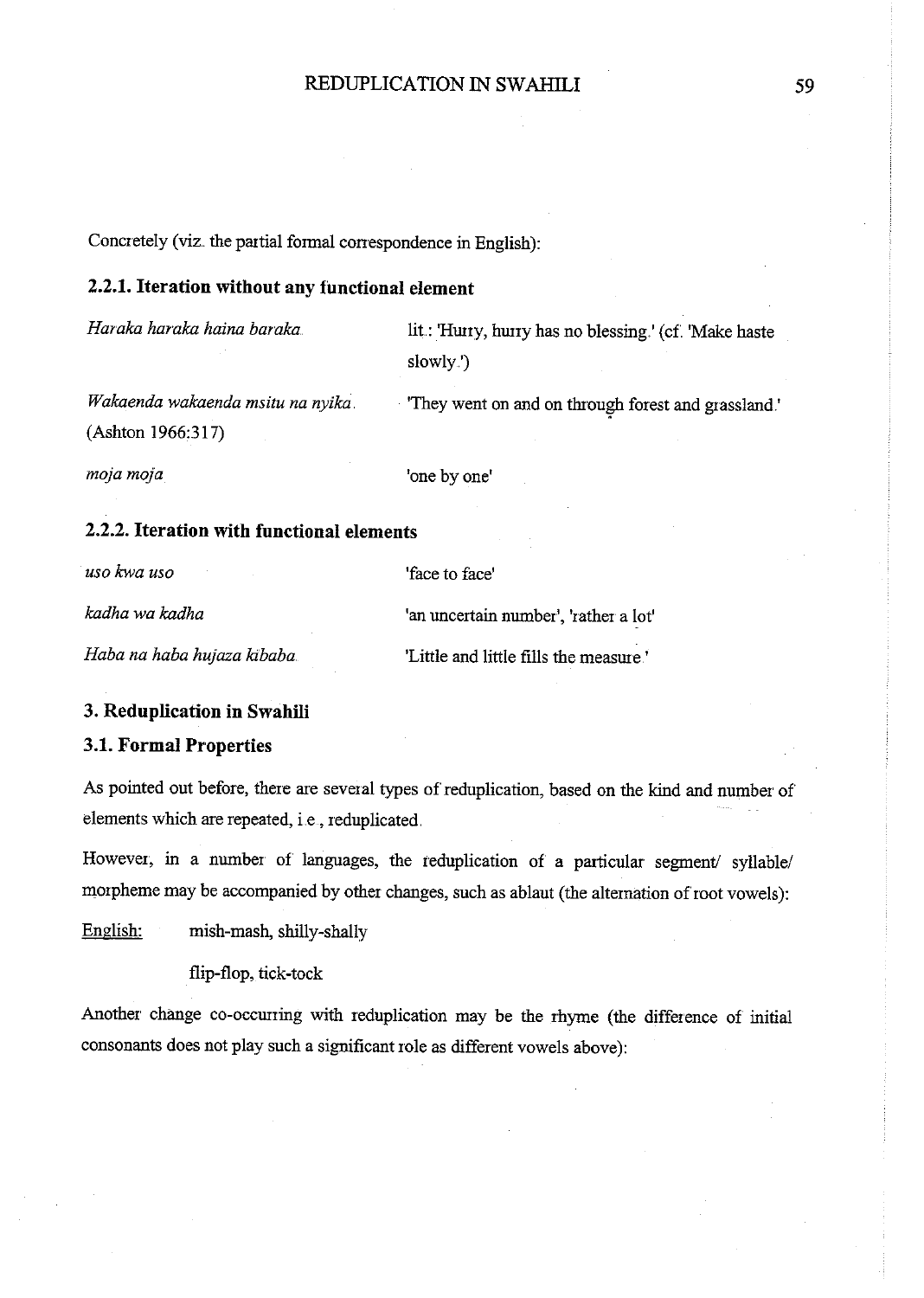Concretely (viz. the partial formal correspondence in English):

## **2.2.1. Iteration without any functional element**

*Haraka haraka haina baraka ..* 

lit: 'Hurry, hurry has no blessing.' (cf. 'Make haste slowly.')

*Wakaenda wakaenda msitu na nyika.*  (Ashton 1966:317)

'They went on and on through forest and grassland.'

*mojamoja* 

'one by one'

## **2.2.2. Iteration with functional elements**

*usokwa uso* 

'face to face'

*kadha wa kadha* 

*Haba na haba hujaza kibaba* 

'an uncertain number', 'rather a lot' 'Little and little fills the measme '

#### **3. Reduplication in Swahili**

### **3.1. Formal Properties**

As pointed out before, there are several types of reduplication, based on the kind and number of elements which are repeated, i.e., reduplicated.

However, in a number of languages, the reduplication of a particular segment/ syllable/ morpheme may be accompanied by other changes, such as ablaut (the alternation of root vowels):

English: mish-mash, shilly-shally

flip-flop, tick-tock

Another change co-occurring with reduplication may be the rhyme (the difference of initial consonants does not play such a significant role as different vowels above):

59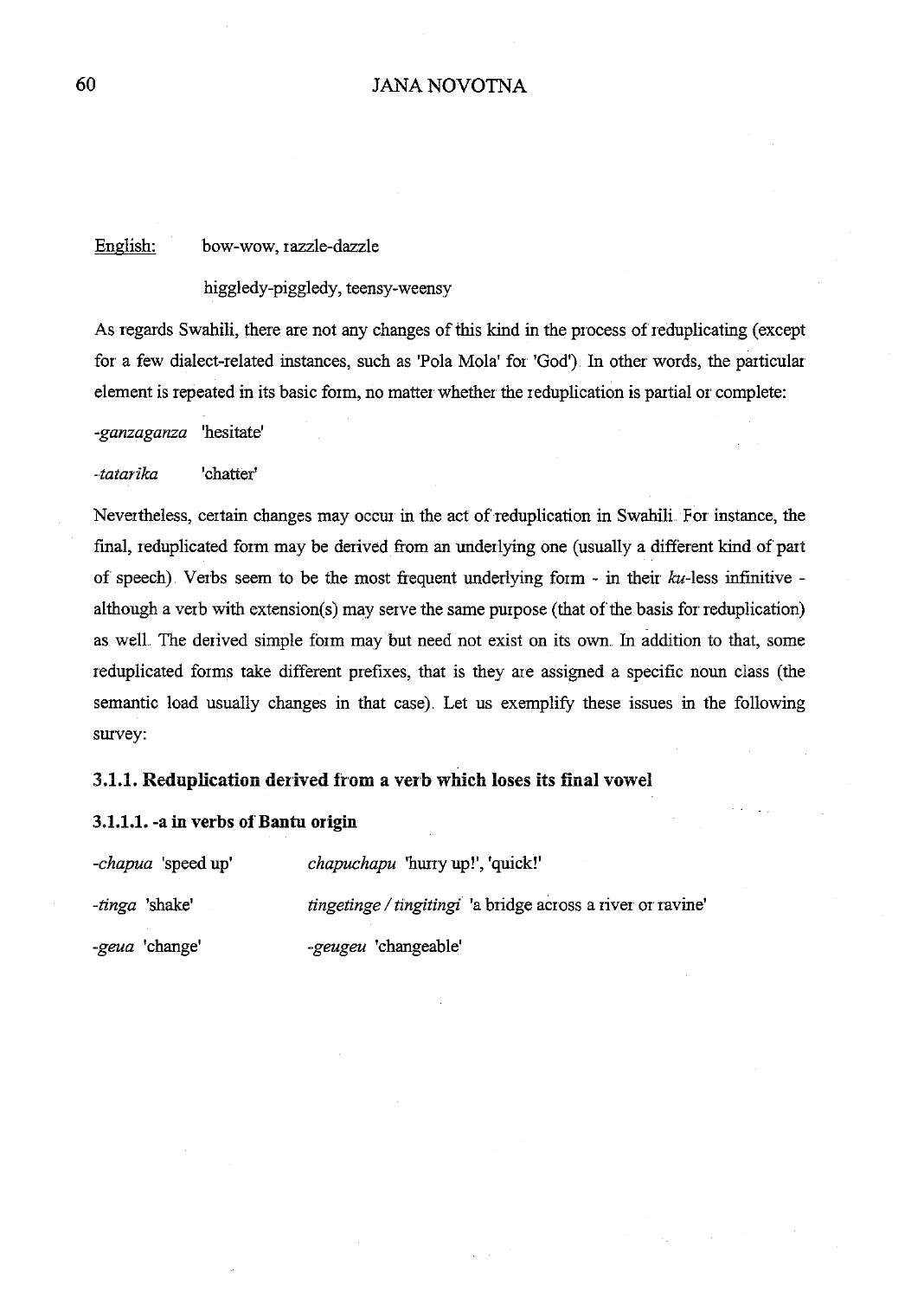## English: bow-wow, razzle-dazzle

higgledy-piggledy, teensy-weensy

As regards Swahili, there are not any changes of this kind in the process of reduplicating (except for a few dialect-related instances, such as 'Pola Mola' for 'God') In other words, the particular element is repeated in its basic form, no matter whether the reduplication is partial or complete:

*-ganzaganza* 'hesitate'

*-latarika* 'chatter'

Nevertheless, certain changes may occur in the act of reduplication in Swahili. For instance, the fmal, reduplicated form may be derived from an underlying one (usually a different kind of part of speech). Verbs seem to be the most frequent underlying form - in their  $ku$ -less infinitive although a verb with extension(s) may serve the same purpose (that of the basis for reduplication) as well. The derived simple form may but need not exist on its own. In addition to that, some reduplicated forms take different prefixes, that is they are assigned a specific noun class (the semantic load usually changes in that case). Let us exemplify these issues in the following survey:

#### 3.1.1. Reduplication derived from a verb which loses its final vowel

#### 3.1.1.1. -a in verbs of Bantu origin

| <i>-chapua</i> 'speed up' | <i>chapuchapu</i> 'hurry up!', 'quick!'                     |
|---------------------------|-------------------------------------------------------------|
| <i>-tinga</i> 'shake'     | tingetinge / tingitingi 'a bridge across a river or ravine' |
| <i>-geua</i> 'change'     | -geugeu 'changeable'                                        |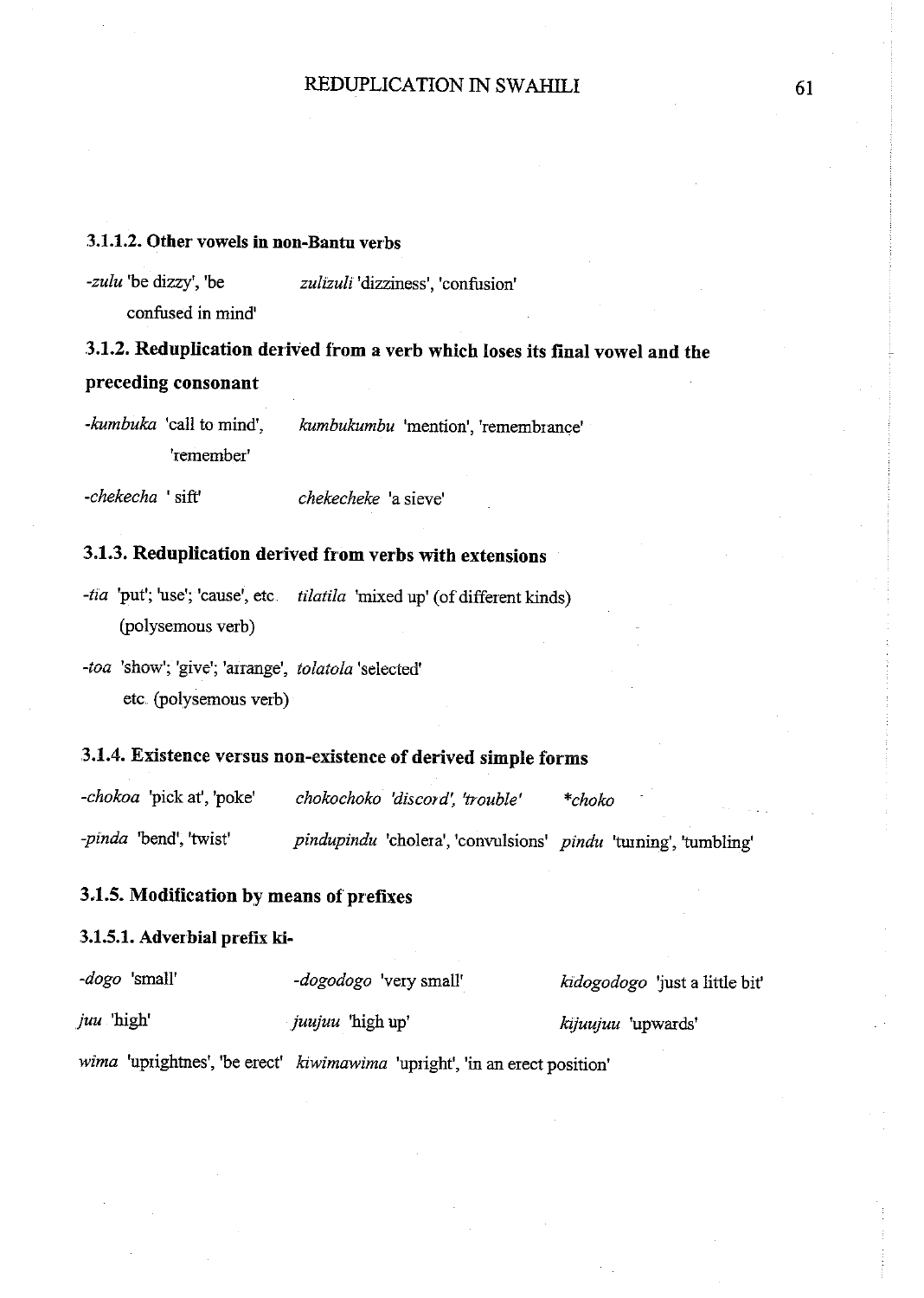## 3.1.1.2. Other vowels in non-Bantu verbs

*-zulu* 'be dizzy', 'be confused in mind' *zulizuli* 'dizziness', 'confusion'

.3.1.2. Reduplication derived from a verb which loses its final vowel and the preceding consonant

*-kumbuka* 'call to mind', 'remember' *kumbukumbu* 'mention', 'remembrance'

*-chekecha* ' sift' *chekecheke* 'a sieve'

## 3.1.3. Reduplication derived from verbs with extensions

*-tia* 'put'; 'use'; 'cause', etc. *tilatila* 'mixed up' (of different kinds) (polysemous verb)

*-toa* 'show'; 'give'; 'arrange', *tolatola* 'selected' etc. (polysemous verb)

## .3.1.4. Existence versus non-existence of derived simple forms

*-chokoa* 'pick at', 'poke' *chokochoko 'discord: 'trouble' \*choko -pinda* 'bend', 'twist' *pindupindu* 'cholera', 'convulsions' *pindu* 'tuming', 'tumbling'

## .3.1.5. Modification by means of prefixes

## 3.1.5.1. Adverbial prefix ki-

| -dogo 'small'    | -dogodogo 'very small'                                                     | kidogodogo 'just a little bit' |
|------------------|----------------------------------------------------------------------------|--------------------------------|
| <i>juu</i> high' | <i>juujuu</i> 'high up'                                                    | kijuujuu 'upwards'             |
|                  | wima 'uprightnes', 'be erect' kiwimawima 'upright', 'in an erect position' |                                |

61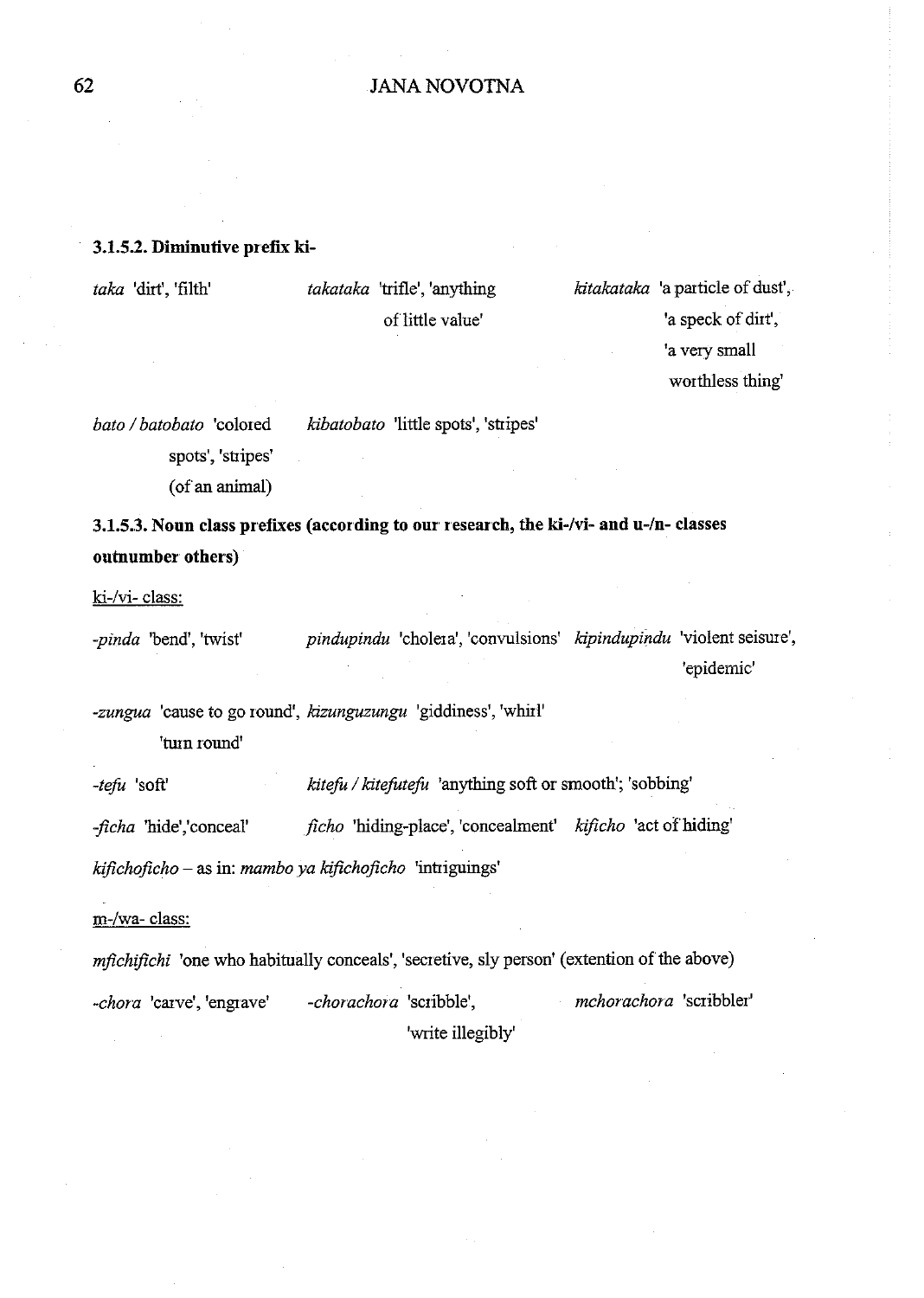## 3.1.5.2. Diminutive prefix ki-

*taka* 'dirt', 'filth'

*takataka* 'trifle', 'anything of little value'

*kitakataka* 'a particle of dust', 'a speck of dirt', 'a very small worthless thing'

*bato I batobato* 'colored spots', 'stripes' *kibatobato* 'little spots', 'stripes'

(of an animal)

3.1.5.3. Noun class prefixes (according to our research, the ki-/vi- and u-/n- classes outnumber others)

ki-/vi- class:

*-pinda* 'bend', 'twist' *pindupindu* 'cholera', 'convulsions' *kipindup{ndu* 'violent seisure', 'epidemic'

*-zungua* 'cause to go round', *kizunguzungu* 'giddiness', 'whirl' 'turn round'

*-tefo* 'soft' *kitefu* I *kitefutefu* 'anything soft or smooth'; 'sobbing'

*-jicha* 'hide','conceal' *ficho* 'hiding-place', 'concealment' *kificho* 'act of hiding' *kifichoficho* - as in: *mambo ya kifichojicho* 'intriguings'

m-/wa- class:

*mfichifichi* 'one who habitually conceals', 'secretive, sly person' (extention of the above) *-chora* 'carve', 'engrave' *-chorachora* 'scribble', 'write illegibly' *mchorachora* 'scribbler'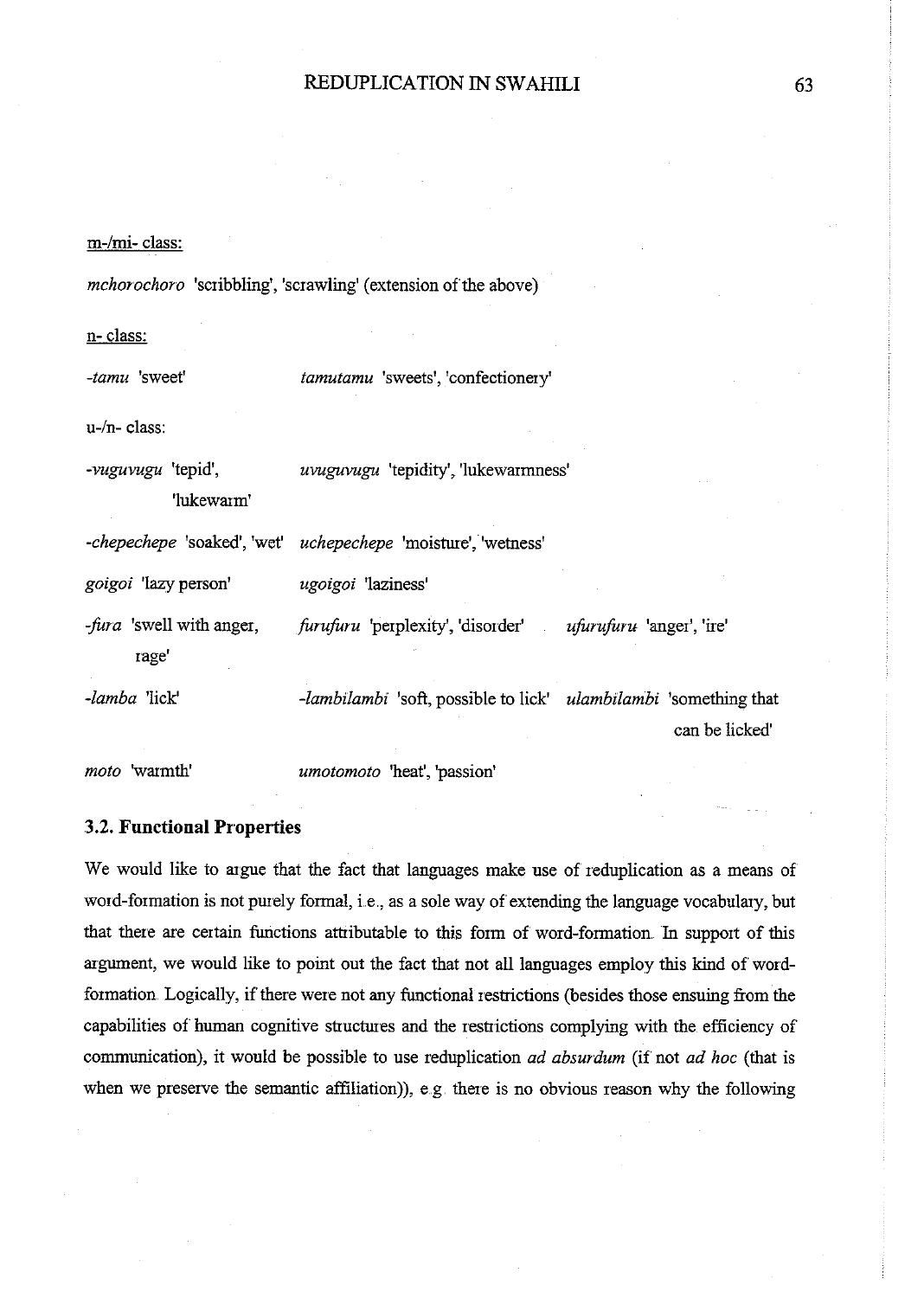#### m-/mi- class:

*mchorochoro* 'scribbling', 'scrawling' (extension of the above)

n- class:

*-tamu* 'sweet'

*tamutamu* 'sweets', 'confectionery'

u-/n- class:

*-vuguvugu* 'tepid', 'lukewarm' *uvuguvugu* 'tepidity', 'lukewarmness'

*-chepechepe* 'soaked', 'wet' *uchepechepe* 'moisture', 'wetness'

*goigoi* 'lazy person' *ugoigoi* 'laziness'

*fura* 'swell with anger, rage' *foruforu* 'perplexity', 'disorder' *ufurufuru* **'anger', 'ire'** 

*-lamba* 'lick' *-lambilambi* 'soft, possible to lick' *ulambilambi* 'something that can be licked'

*moto* 'warmth'

*umotomoto* 'heat', 'passion'

#### .3.2. **Functional Properties**

We would like to argue that the fact that languages make use of reduplication as a means of word-formation is not purely formal, i.e., as a sole way of extending the language vocabulary, but that there are certain functions attributable to this form of word-formation. In support of this argument, we would like to point out the fact that not all languages employ this kind of wordformation. Logically, if there were not any functional restrictions (besides those ensuing from the capabilities of human cognitive structures and the restrictions complying with the efficiency of communication), it would be possible to use reduplication *ad absurdum* (if not *ad hoc* (that is when we preserve the semantic affiliation)), e.g. there is no obvious reason why the following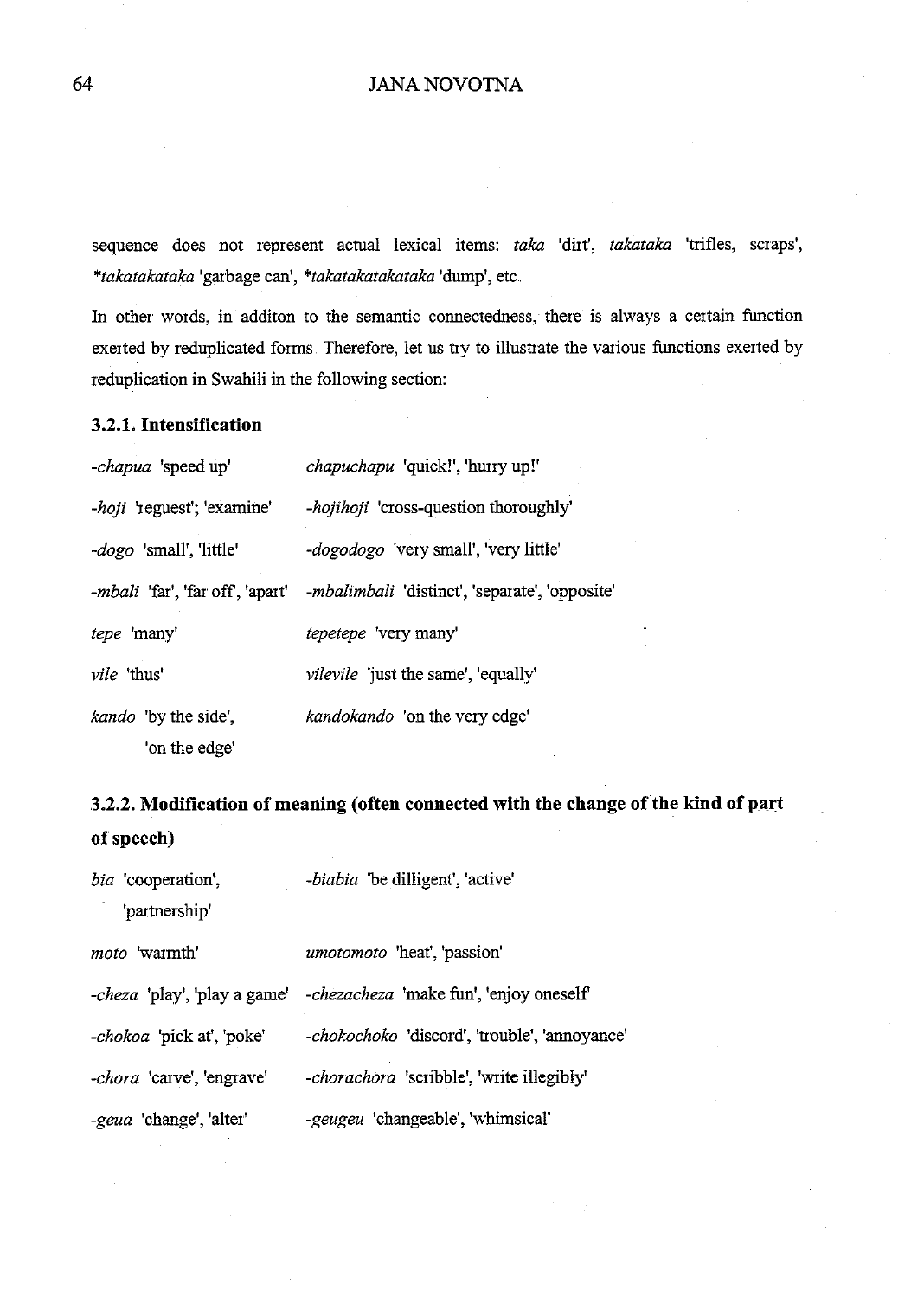## 64 JANA NOV01NA

sequence does not represent actual lexical items: *taka* 'dirt', *takataka* 'trifles, scraps', *\*takatakataka* 'garbage can', *\*takatakatakataka* 'dump', etc.

In other words, in additon to the semantic connectedness, there is always a certain function exerted by reduplicated forms Therefore, let us try to illustrate the various functions exerted by reduplication in Swahili in the following section:

## **3.2.1. Intensification**

| - <i>chapua</i> 'speed up'              | chapuchapu 'quick!', 'hurry up!'                       |
|-----------------------------------------|--------------------------------------------------------|
| -hoji 'reguest'; 'examine'              | -hojihoji 'cross-question thoroughly'                  |
| -dogo 'small', 'little'                 | <i>-dogodogo</i> 'very small', 'very little'           |
| <i>-mbali</i> 'far', 'far off', 'apart' | - <i>mbalimbali</i> 'distinct', 'separate', 'opposite' |
| tepe 'many'                             | tepetepe 'very many'                                   |
| vile 'thus'                             | <i>vilevile</i> 'just the same', 'equally'             |
| <i>kando</i> 'by the side',             | kandokando 'on the very edge'                          |
| 'on the edge'                           |                                                        |

# **3.2.2. Modification of meaning (often connected with the change ofthe kind of part of speech)**

| <i>bia</i> 'cooperation',<br>'partnership' | -biabia 'be dilligent', 'active'                |
|--------------------------------------------|-------------------------------------------------|
| <i>moto</i> 'warmth'                       | umotomoto 'heat', 'passion'                     |
| <i>-cheza</i> 'play', 'play a game'        | - <i>chezacheza</i> 'make fun', 'enjoy oneself' |
| - <i>chokoa</i> 'pick at', 'poke'          | -chokochoko 'discord', 'trouble', 'annoyance'   |
| -chora 'carve', 'engrave'                  | -chorachora 'scribble', 'write illegibly'       |
| -geua 'change', 'alter'                    | -geugeu 'changeable', 'whimsical'               |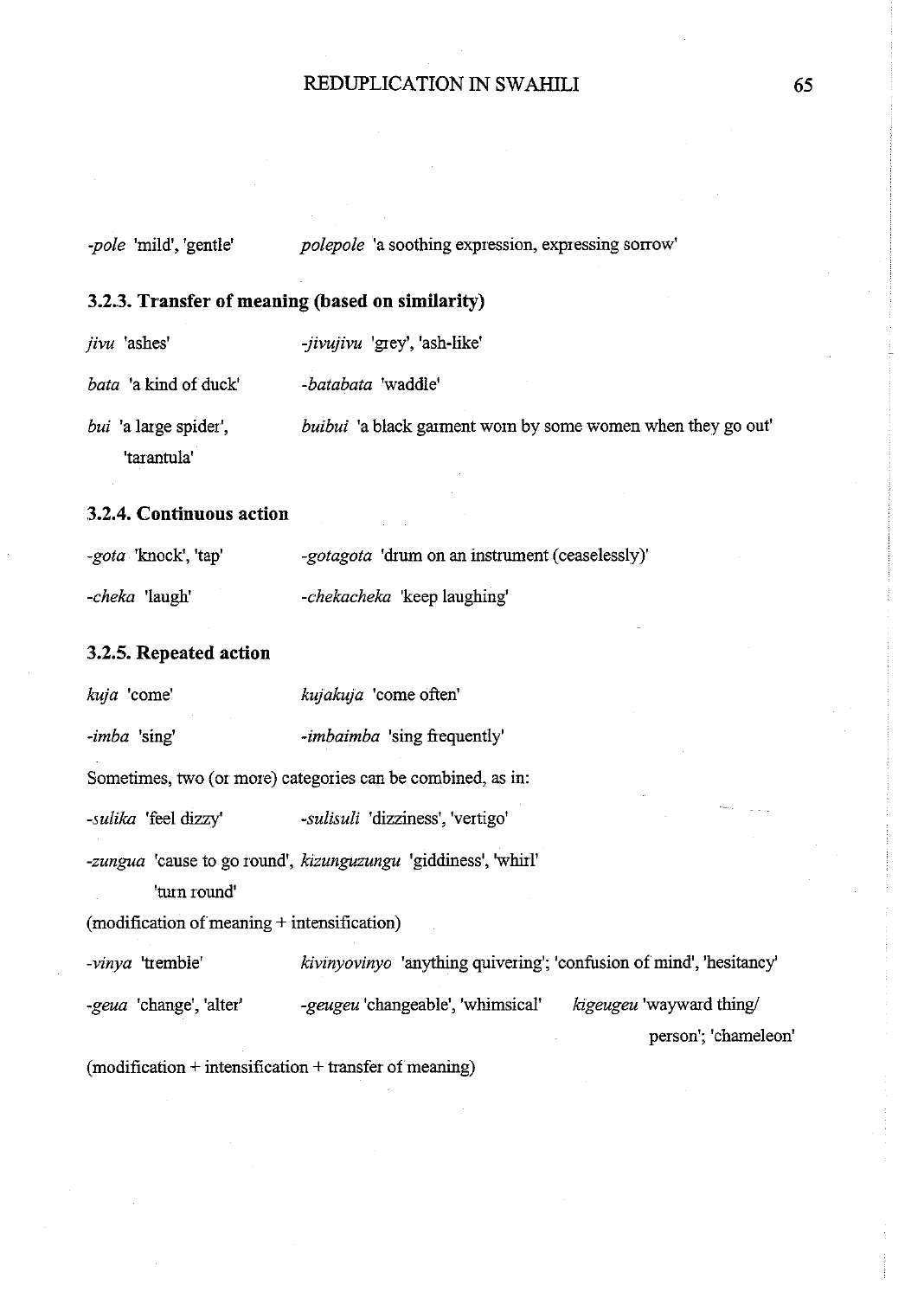| 3.2.3. Transfer of meaning (based on similarity) |                                                                     |  |
|--------------------------------------------------|---------------------------------------------------------------------|--|
| <i>jivu</i> ashes                                | -jivujivu 'grey', 'ash-like'                                        |  |
| <i>bata</i> 'a kind of duck'                     | -batabata 'waddle'                                                  |  |
| <i>bui</i> 'a large spider',<br>'tarantula'      | <i>buibui</i> 'a black garment worn by some women when they go out' |  |

*-pole 'mild', 'gentle' polepole 'a soothing expression, expressing sorrow'* 

## **3.2.4. Continuous action**

| -gota 'knock', 'tap'  | <i>-gotagota</i> 'drum on an instrument (ceaselessly)' |
|-----------------------|--------------------------------------------------------|
| <i>-cheka</i> 'laugh' | -chekacheka 'keep laughing'                            |

## **3.2.5. Repeated action**

| kuja 'come'                                                   | kujakuja 'come often'                                                 |                                                  |
|---------------------------------------------------------------|-----------------------------------------------------------------------|--------------------------------------------------|
| -imba 'sing'                                                  | <i>-imbaimba</i> 'sing frequently'                                    |                                                  |
|                                                               | Sometimes, two (or more) categories can be combined, as in:           |                                                  |
| -sulika 'feel dizzy'                                          | -sulisuli 'dizziness', 'vertigo'                                      |                                                  |
| 'turn round'<br>$(modification of meaning + intensification)$ | <i>-zungua</i> 'cause to go round', kizunguzungu 'giddiness', 'whirl' |                                                  |
| -vinya 'tremble'                                              | kivinyovinyo 'anything quivering'; 'confusion of mind', 'hesitancy'   |                                                  |
| -geua 'change', 'alter'                                       | -geugeu 'changeable', 'whimsical'                                     | kigeugeu 'wayward thing/<br>person'; 'chameleon' |
| $(modification + intensification + transfer of meaning)$      |                                                                       |                                                  |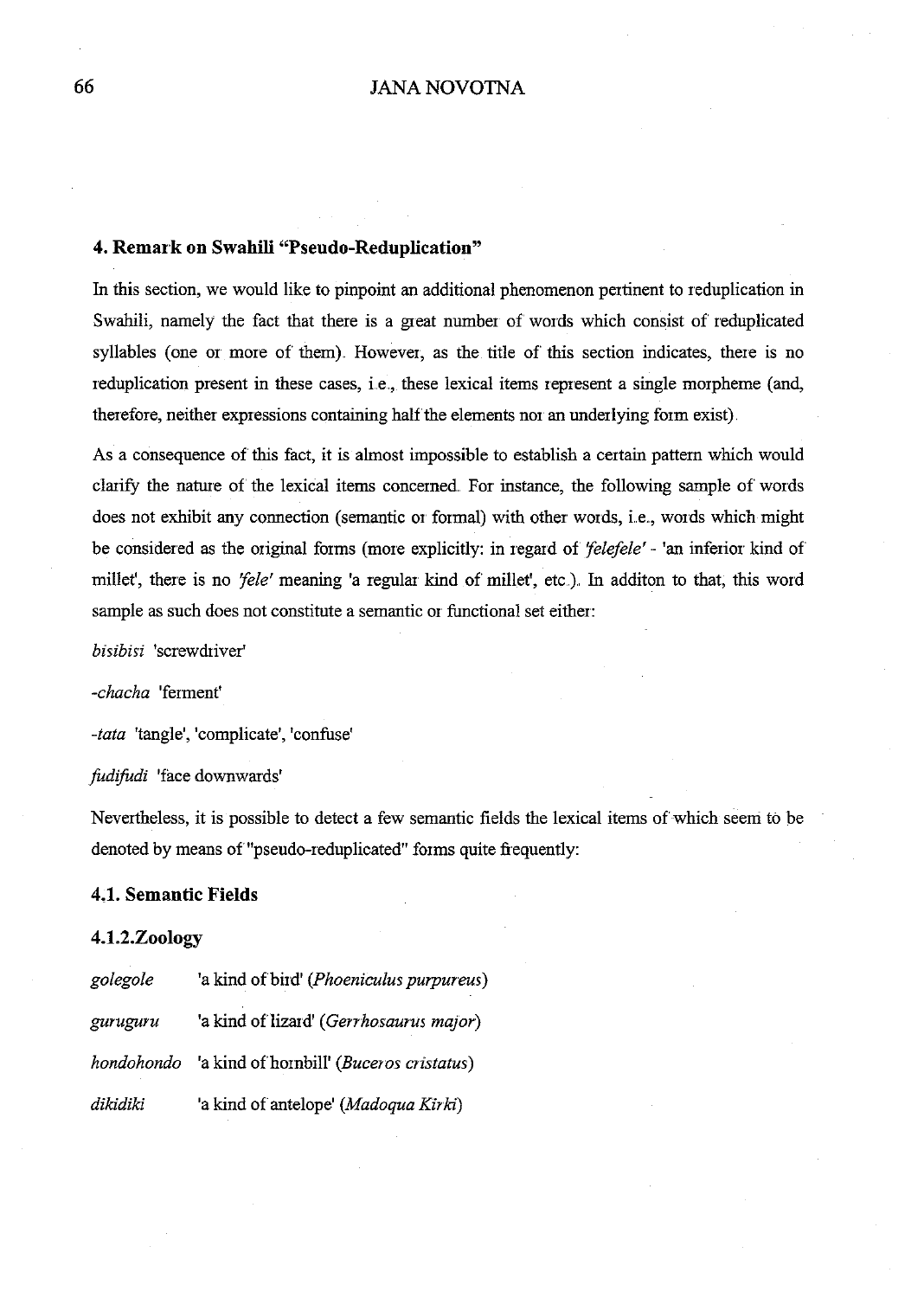## **4. Remai'k on Swahili "Pseudo-Reduplication"**

In this section, we would like to pinpoint an additional phenomenon pertinent to reduplication in Swahili, namely the fact that there is a great number of words which consist of reduplicated syllables (one or more of them). However, as the title of this section indicates, there is no reduplication present in these cases, i.e., these lexical items represent a single morpheme (and, therefore, neither expressions containing half the elements nor an underlying form exist).

As a consequence of this fact, it is almost impossible to establish a certain pattern which would clarify the nature of the lexical items concerned. For instance, the following sample of words does not exhibit any connection (semantic or formal) with other words, i.e., words which might be considered as the original forms (more explicitly: in regard of *'felefele'* ·- 'an inferior kind of millet', there is no *'fele'* meaning 'a regular kind of millet', etc.). In additon to that, this word sample as such does not constitute a semantic or functional set either:

*bisibisi* 'screwdriver'

*-chacha* 'ferment'

*-tata* 'tangle', 'complicate', 'confuse'

*fudifudi* 'face downwards'

Nevertheless, it is possible to detect a few semantic fields the lexical items of which seem to be denoted by means of "pseudo-reduplicated" forms quite frequently:

## **4.1. Semantic Fields**

### **4.1.2.Zoology**

| golegole | 'a kind of bird' (Phoeniculus purpureus)            |
|----------|-----------------------------------------------------|
| guruguru | 'a kind of lizard' (Gerrhosaurus major)             |
|          | hondohondo 'a kind of hornbill' (Buceros cristatus) |
| dikidiki | 'a kind of antelope' (Madoqua Kirki)                |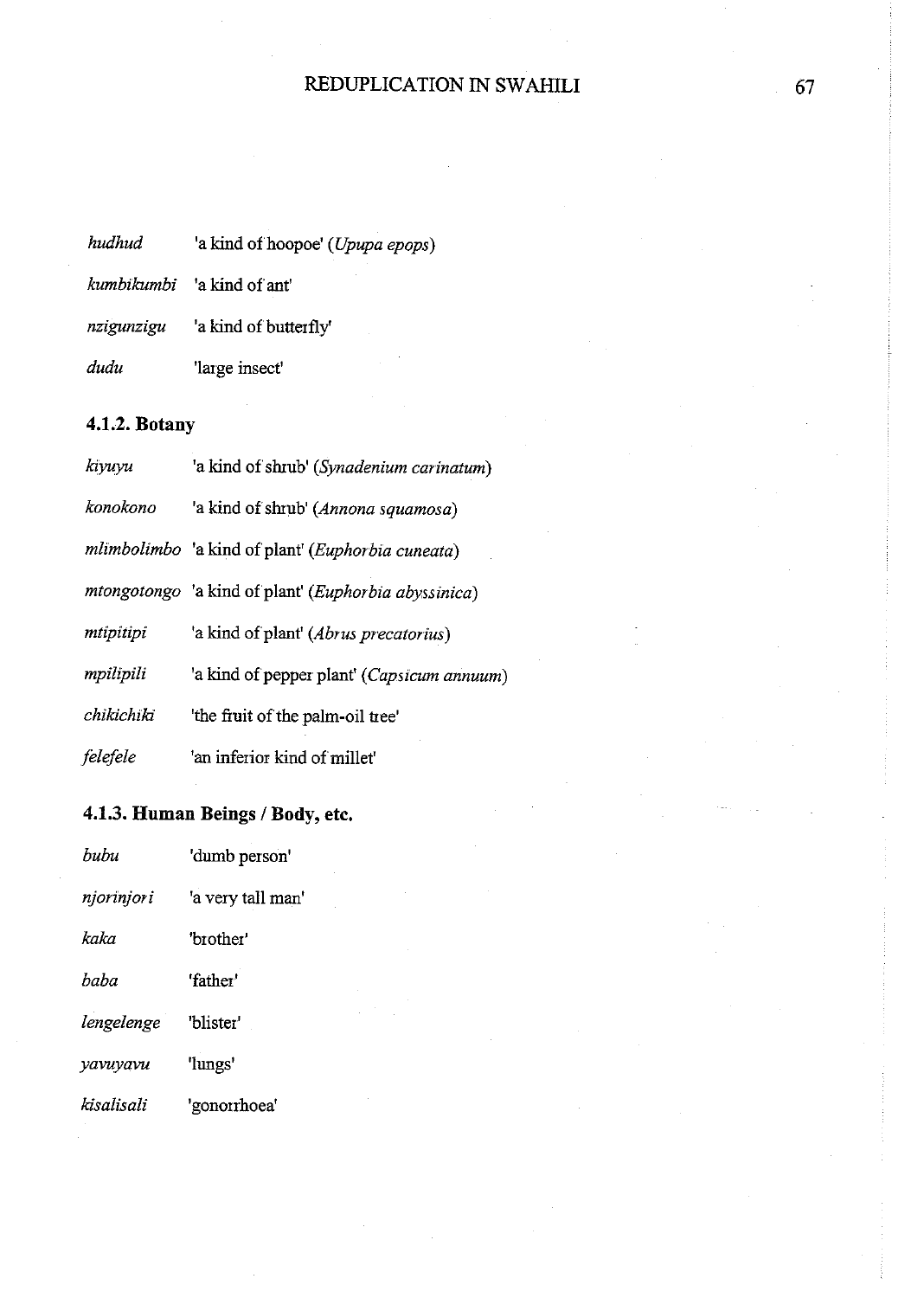| hudhud |  | 'a kind of hoopoe' (Upupa epops) |  |  |
|--------|--|----------------------------------|--|--|
|--------|--|----------------------------------|--|--|

|            | <i>kumbikumbi</i> a kind of ant' |
|------------|----------------------------------|
| nzigunzigu | 'a kind of butterfly'            |
| dudu       | large insect'                    |

# **4.1.2. Botany**

| kıyuyu     | 'a kind of shrub' (Synadenium carinatum)             |
|------------|------------------------------------------------------|
| konokono   | 'a kind of shrub' (Annona squamosa)                  |
|            | mlimbolimbo 'a kind of plant' (Euphorbia cuneata)    |
|            | mtongotongo 'a kind of plant' (Euphorbia abyssinica) |
| mtipitipi  | 'a kind of plant' (Abrus precatorius)                |
| mpilipili  | 'a kind of pepper plant' ( <i>Capsicum annuum</i> )  |
| chikichiki | 'the fruit of the palm-oil tree'                     |
| felefele   | 'an inferior kind of millet'                         |

# **4.1.3. Human Beings I Body, etc.**

| bubu       | 'dumb person'     |
|------------|-------------------|
| njorinjori | 'a very tall man' |
| kaka       | 'brother'         |
| baba       | 'father'          |
| lengelenge | "blister"         |
| yavuyavu   | 'lungs'           |
| kisalisali | 'gonomhoea'       |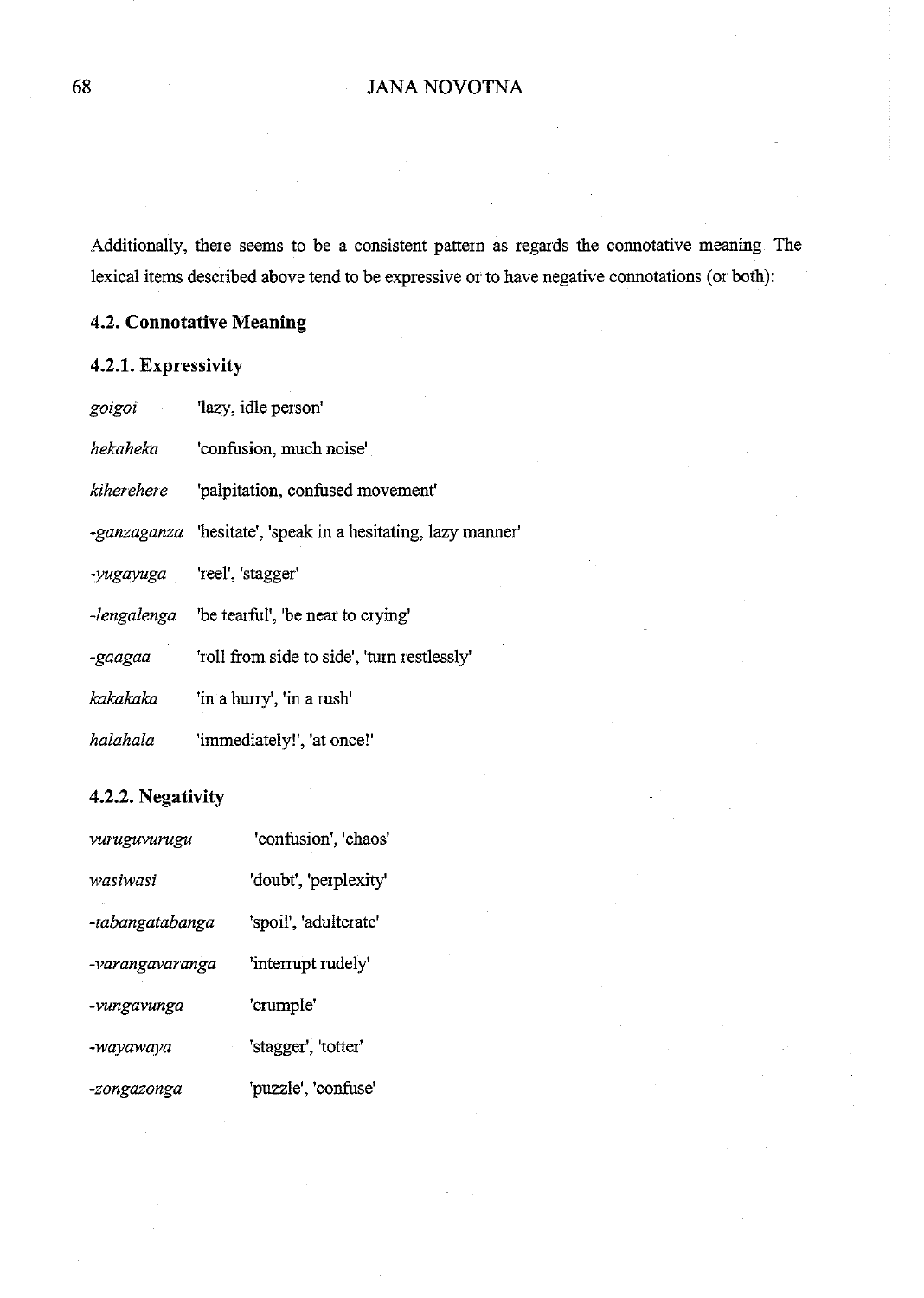Additionally, there seems to be a consistent pattern as regards the connotative meaning. The lexical items described above tend to be expressive or to have negative connotations (or both):

# **4.2. Connotative Meaning**

## **4.2.1. Expressivity**

| goigoi     | 'lazy, idle person'                                          |
|------------|--------------------------------------------------------------|
| hekaheka   | 'confusion, much noise'                                      |
| kiherehere | 'palpitation, confused movement'                             |
|            | -ganzaganza 'hesitate', 'speak in a hesitating, lazy manner' |
|            | -yugayuga 'reel', 'stagger'                                  |
|            | -lengalenga be tearful', 'be near to crying'                 |
| -gaagaa    | 'roll from side to side', 'turn restlessly'                  |
| kakakaka   | 'in a hurry', 'in a rush'                                    |
| halahala   | 'immediately!', 'at once!'                                   |

# **4.2.2. Negativity**

| vuruguvurugu    | 'confusion', 'chaos'  |
|-----------------|-----------------------|
| wasiwasi        | 'doubt', 'perplexity' |
| -tabangatabanga | 'spoil', 'adulterate' |
| -varangavaranga | 'interrupt rudely'    |
| -vungavunga     | 'crumple'             |
| -wayawaya       | 'stagger', 'totter'   |
| -zongazonga     | 'puzzle', 'confuse'   |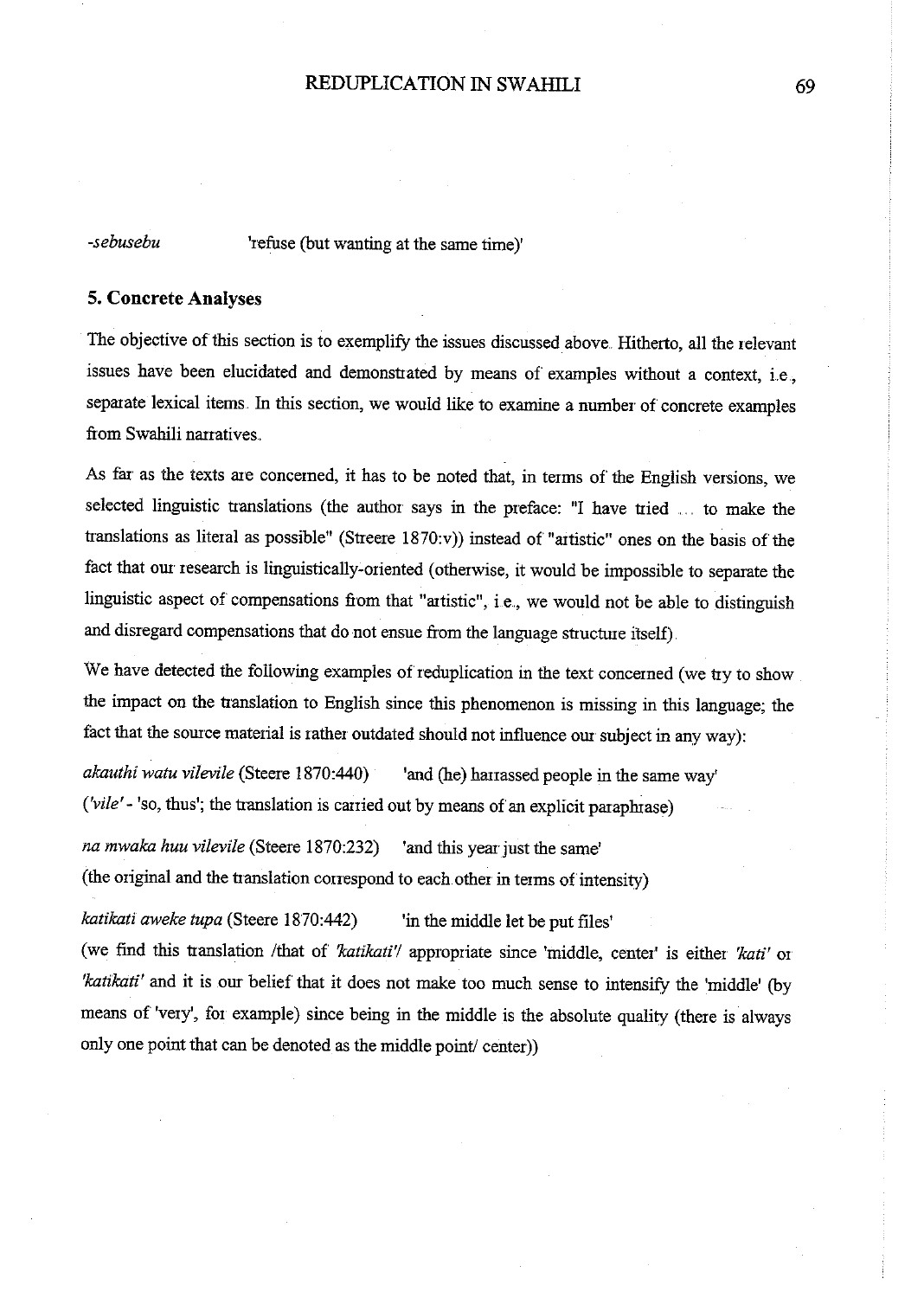*-sebusebu* 'refuse (but wanting at the same time)'

#### **5. Concrete Analyses**

The objective of this section is to exemplify the issues discussed above. Hitherto, all the relevant issues have been elucidated and demonstrated by means of examples without a context, i.e., separate lexical items. In this section, we would like to examine a number of concrete examples from Swahili narratives.

As far as the texts are concerned, it has to be noted that, in terms of the English versions, we selected linguistic translations (the author says in the preface: "I have tried . .. to make the translations as literal as possible" (Streere  $1870$ :v)) instead of "artistic" ones on the basis of the fact that our research is linguistically-oriented (otherwise, it would be impossible to separate the linguistic aspect of compensations from that "artistic", i.e., we would not be able to distinguish and disregard compensations that do not ensue from the language structure itself).

We have detected the following examples of reduplication in the text concerned (we try to show the impact on the translation to English since this phenomenon is missing in this language; the fact that the source material is rather outdated should not influence our subject in any way):

*akauthi watu vilevile* (Steere 1870:440) <sup>'</sup>and (he) harrassed people in the same way' *('vile'-* 'so, thus'; the translation is carried out by means of an explicit paraphrase)

*na mwaka huu vilevile* (Steere 1870:232) 'and this year just the same' (the original and the translation correspond to each other in terms of intensity)

*katikati aweke tupa* (Steere 1870:442) 'in the middle let be put files'

(we find this translation /that of *'katikati'l* appropriate since 'middle, center' is either *'kati'* or *'katikati'* and **it** is our belief that it does not make too much sense to intensify the 'middle' (by means of 'very', for example) since being in the middle is the absolute quality (there is always only one point that can be denoted as the middle point/ center))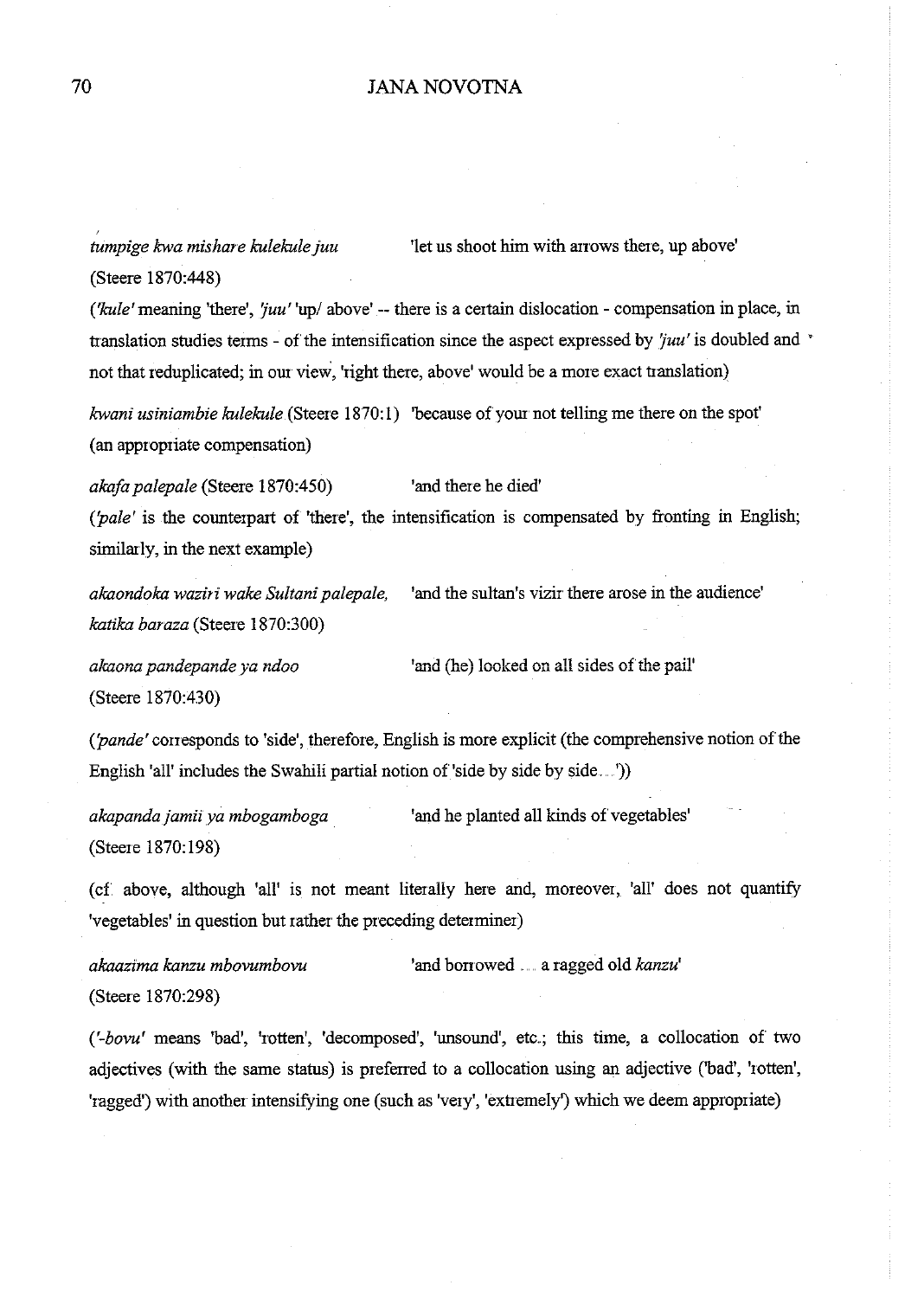*tumpige kwa mishare kulekule juu* 'let us shoot him with arrows there, up above' (Steere 1870:448)

*('kule'* meaning 'there', '*juu'* 'up/ above' -- there is a certain dislocation - compensation in place, in translation studies terms- of the intensification since the aspect expressed by *'fuu'* is doubled and • not that reduplicated; in our view, 'right there, above' would be a more exact translation)

*kwani usiniambie kulekule* (Steere 1870:1) 'because of your not telling me there on the spot' (an appropriate compensation)

*akafa palepale* (Steere 1870:450) 'and there he died' *('pale'* is the counterpart of 'there', the intensification is compensated by fronting in English; similarly, in the next example)

*akaondoka waziri wake Sultani palepale,* 'and the sultan's vizir there arose in the audience' *katika baraza* (Steere 1870:300)

**akaona pandepande ya ndoo 'and (he) looked on all sides of the pail'** (Steere 1870:430)

*('pande'* corresponds to 'side', therefore, English is more explicit (the comprehensive notion of the English 'all' includes the Swahili partial notion of 'side by side by side....')

*akapanda jamii ya mbogamboga*  (Steere 1870:198) 'and he planted all kinds of vegetables'

(cf above, although 'all' is not meant literally here and, moreover, 'all' does not quantity 'vegetables' in question but rather the preceding determiner)

*akaazima kanzu mbovumbovu* 'and borrowed ...... a ragged old *kanzu'*  (Steere 1870:298)

('-bovu' means 'bad', 'rotten', 'decomposed', 'unsound', etc.; this time, a collocation of two adjectives (with the same status) is preferred to a collocation using an adjective ('bad', 'rotten', 'ragged') with another intensifying one (such as 'very', 'extremely') which we deem appropriate)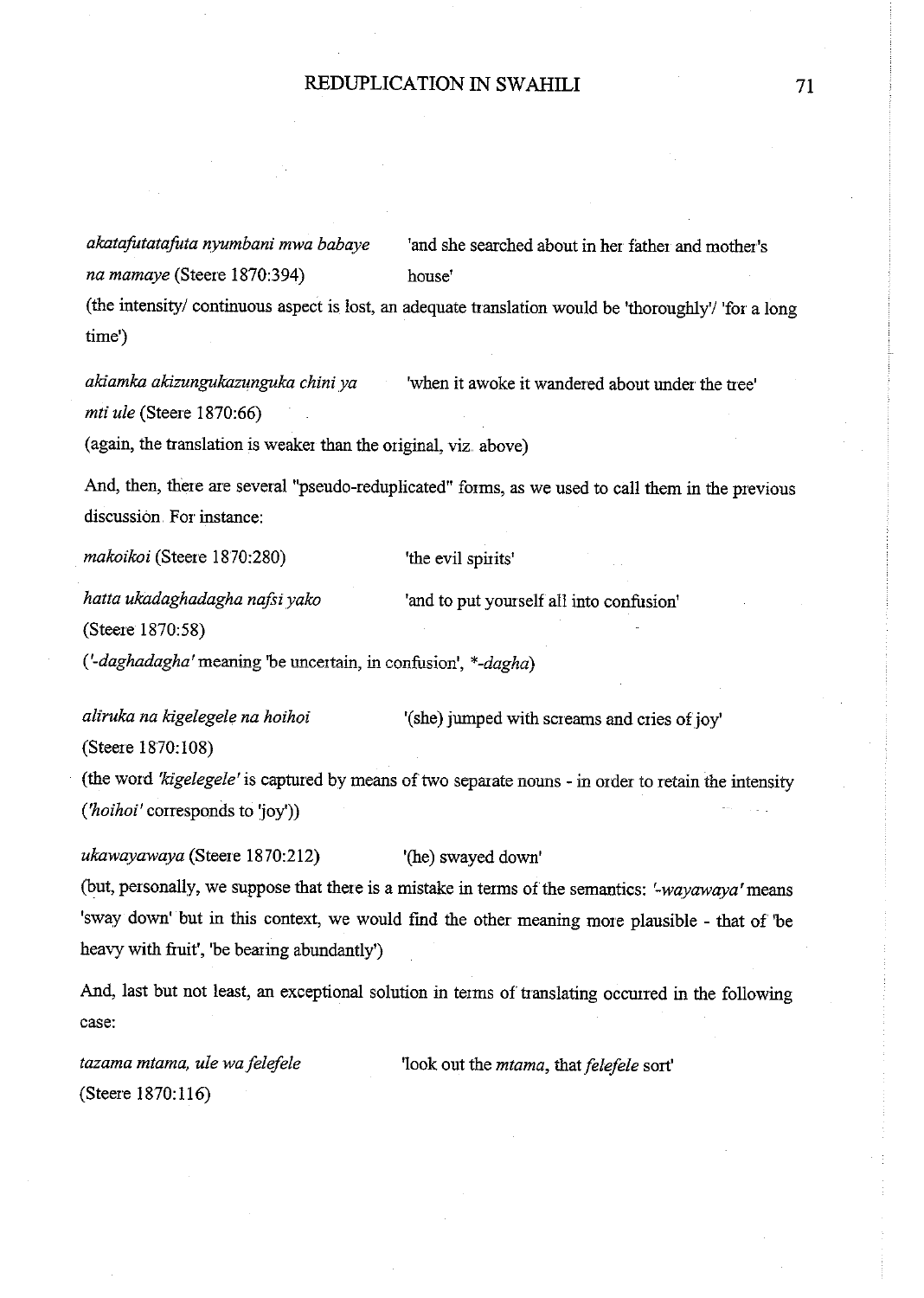*akatafotatafuta nyumbani mwa babaye na mamaye* (Steere 1870:394) 'and she searched about in her father and mother's house' (the intensity/ continuous aspect is lost, an adequate translation would be 'thoroughly'/ 'for a long time')

*akiamka akizungukazunguka chini ya mti ule* (Steere 1870:66) 'when it awoke it wandered about under the tree'

(again, the translation is weaker than the original, viz. above)

And, then, there are several "pseudo-reduplicated" forms, as we used to call them in the previous discussion. For instance:

*makoikoi* (Steere 1870:280)

'the evil spirits'

'and to put yourself all into confusion'

*hatta ukadaghadagha nafti yako*  (Steere 1870: 58)

*('-daghadagha'meaning* **'be uncertain, in confl.1sion',** *\*-dagha)* 

*aliruka na kigelegele na hoihoi*  (Steere 1870:108) '(she) jumped with screams and cries of joy'

(the word *'kigelegele'* is captured by means of two separate nouns- in order to retain the intensity *('hoihoi'* corresponds to 'joy'))

*ukawayawaya* (Steere 1870:212) '(he) swayed down' (but, personally, we suppose that there is a mistake in terms of the semantics: *'-wayawaya'means*  'sway down' but in this context, we would fmd the other meaning more plausible - that of 'be heavy with fruit', 'be bearing abundantly')

And, last but not least, an exceptional solution in terms of translating occurred in the following case:

*tazama mtama, ule wafelefele*  (Steere 1870:116) 'look out the *mtama,* that *felefele* sort' 71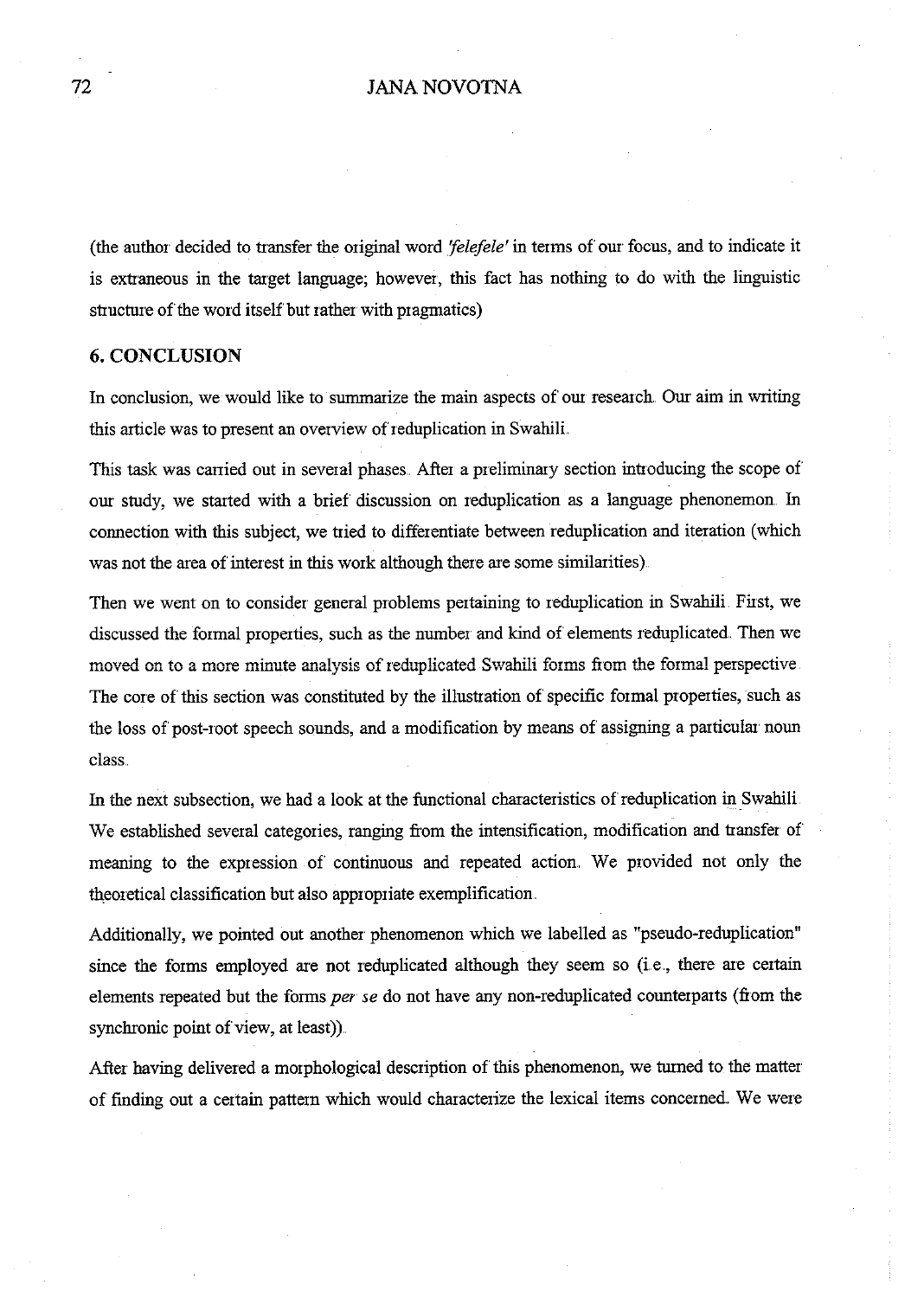### 72 JANA NOV01NA

(the author decided to transfer the original word *'felefele'* in terms of our focus, and to indicate it is extraneous in the target language; however, this fact has nothing to do with the linguistic structure of the word itself but rather with pragmatics)

#### **6. CONCLUSION**

In conclusion, we would like to summarize the main aspects of our research. Our aim in writing this article was to present an overview of reduplication in Swahili ..

This task was carried out in several phases. After a preliminary section introducing the scope of our study, we started with a brief discussion on reduplication as a language phenonemon. In connection with this subject, we tried to differentiate between reduplication and iteration (which was not the area of interest in this work although there are some similarities).

Then we went on to consider general problems pertaining to reduplication in Swahili. First, we discussed the formal properties, such as the number and kind of elements reduplicated. Then we moved on to a more minute analysis of reduplicated Swahili forms from the formal perspective The core of this section was constituted by the illustration of specific formal properties, such as the loss of post-root speech sounds, and a modification by means of assigning a particular noun class ..

In the next subsection, we had a look at the functional characteristics of reduplication in Swahili We established several categories, ranging from the intensification, modification and transfer of meaning to the expression of continuous and repeated action. We provided not only the theoretical classification but also appropriate exemplification.

Additionally, we pointed out another phenomenon which we labelled as "pseudo-reduplication" since the forms employed are not reduplicated although they seem so (i.e., there are certain elements repeated but the forms *per se* do not have any non-reduplicated counterparts (from the synchronic point of view, at least)).

After having delivered a morphological description of this phenomenon, we turned to the matter of finding out a certain pattern which would characterize the lexical items concerned. We were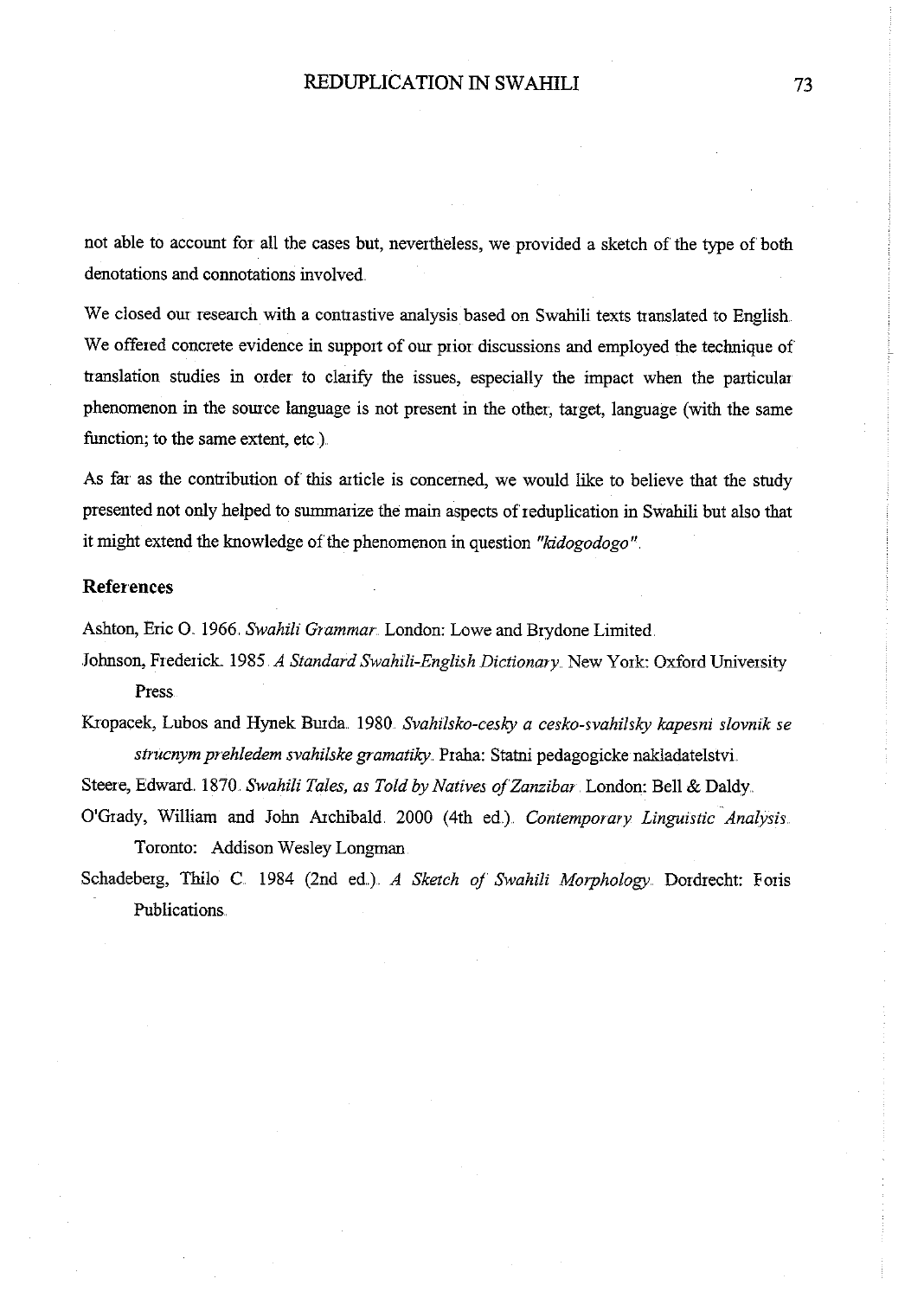not able to account for all the cases but, nevertheless, we provided a sketch of the type of both denotations and connotations involved

We closed our research with a contrastive analysis based on Swahili texts translated to English We offered concrete evidence in support of our prior discussions and employed the technique of translation studies in order to clarify the issues, especially the impact when the particular <sup>p</sup>henomenon in the source language is not present in the other, target, language (with the same function; to the same extent, etc.).

As far as the contribution of this article is concerned, we would like to believe that the study presented not only helped to sunnnarize the main aspects of reduplication in Swahili but also that it might extend the knowledge of the phenomenon in question *"kidogodogo".* 

## **References**

Ashton, Eric O. 1966. Swahili Grammar. London: Lowe and Brydone Limited.

Johnson, Frederick. 1985. *A Standard Swahili-English Dictionary..* New York: Oxford University Press

Kropacek, Lubos and Hynek BUida. 1980. *Svahilsko-cesky a cesko-svahilsky kapesni slovnik se strucnym prehledem svahi!ske gramatiky ..* Praha: Statni pedagogicke nakladatelstvi.

Steere, Edward. 1870. Swahili Tales, as Told by Natives of Zanzibar. London: Bell & Daldy.

O'Grady, William and John Archibald. 2000 (4th ed} *Contemporary Linguistic Analysis.*  Toronto: Addison Wesley Longman

Schadeberg, Thilo C. 1984 (2nd ed.} *A Sketch of Swahili Morphology.* Dordrecht: Foris Publications ..